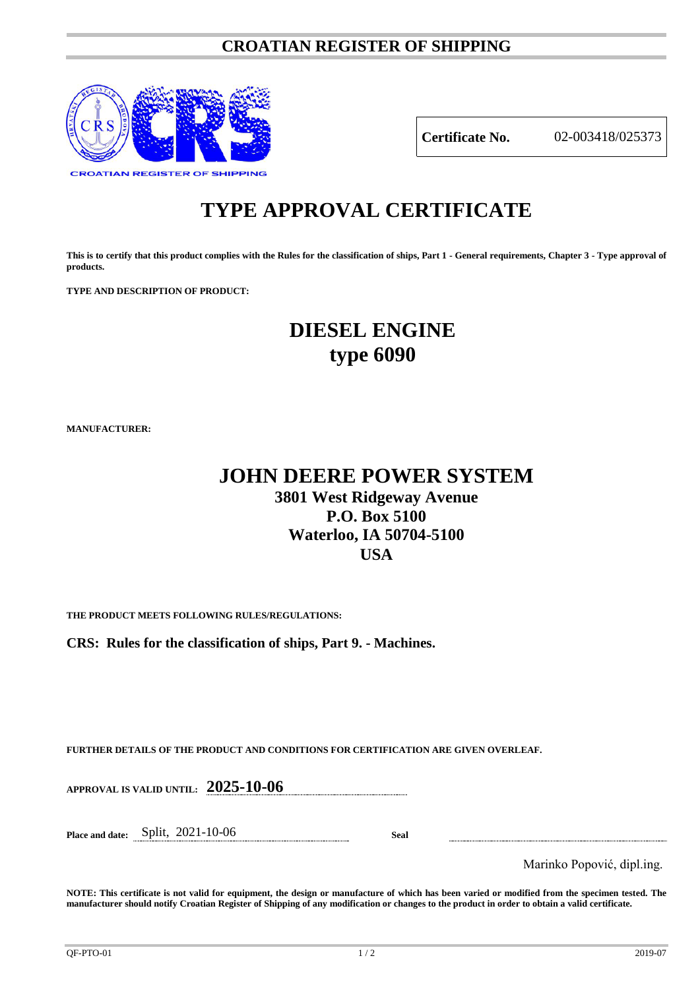### **CROATIAN REGISTER OF SHIPPING**



**Certificate No.** 02-003418/025373

# **TYPE APPROVAL CERTIFICATE**

**This is to certify that this product complies with the Rules for the classification of ships, Part 1 - General requirements, Chapter 3 - Type approval of products.**

**TYPE AND DESCRIPTION OF PRODUCT:** 

## **DIESEL ENGINE type 6090**

**MANUFACTURER:**

## **JOHN DEERE POWER SYSTEM 3801 West Ridgeway Avenue P.O. Box 5100 Waterloo, IA 50704-5100 USA**

**THE PRODUCT MEETS FOLLOWING RULES/REGULATIONS:**

**CRS: Rules for the classification of ships, Part 9. - Machines.**

**FURTHER DETAILS OF THE PRODUCT AND CONDITIONS FOR CERTIFICATION ARE GIVEN OVERLEAF.**

**APPROVAL IS VALID UNTIL: 2025-10-06**

**Place and date:** Split, 2021-10-06 **Seal**

Marinko Popović, dipl.ing.

**NOTE: This certificate is not valid for equipment, the design or manufacture of which has been varied or modified from the specimen tested. The manufacturer should notify Croatian Register of Shipping of any modification or changes to the product in order to obtain a valid certificate.**